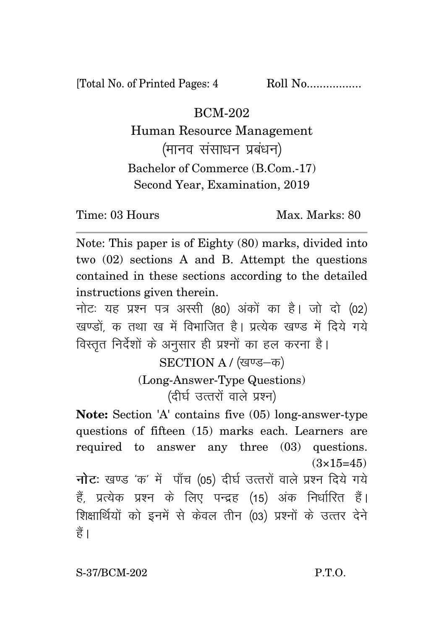[Total No. of Printed Pages: 4 Roll No.................

BCM-202

Human Resource Management (मानव संसाधन प्रबंधन) Bachelor of Commerce (B.Com.-17) Second Year, Examination, 2019

Time: 03 Hours Max. Marks: 80

Note: This paper is of Eighty (80) marks, divided into two (02) sections A and B. Attempt the questions contained in these sections according to the detailed instructions given therein.

नोट: यह प्रश्न पत्र अस्सी (80) अंकों का है। जो दो (02) खण्डों क तथा ख में विभाजित है। प्रत्येक खण्ड में दिये गये विस्तृत निर्देशों के अनुसार ही प्रश्नों का हल करना है।

SECTION A / (खण्ड-क)

(Long-Answer-Type Questions) (दीर्घ उत्तरों वाले प्रश्न)

**Note:** Section 'A' contains five (05) long-answer-type questions of fifteen (15) marks each. Learners are required to answer any three (03) questions.  $(3\times15=45)$ 

**नोट:** खण्ड 'क' में पाँच (05) दीर्घ उत्तरों वाले प्रश्न दिये गये हैं, प्रत्येक प्रश्न के लिए पन्द्रह (15) अंक निर्धारित हैं। शिक्षार्थियों को इनमें से केवल तीन (03) प्रश्नों के उत्तर देने हैं।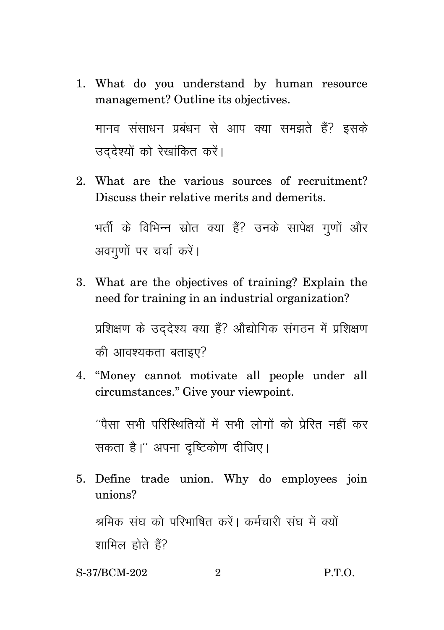1. What do you understand by human resource management? Outline its objectives.

.<br>मानव संसाधन प्रबंधन से आप क्या समझते हैं? इसके उददेश्यों को रेखांकित करें।

2. What are the various sources of recruitment? Discuss their relative merits and demerits.

भर्ती के विभिन्न स्रोत क्या हैं? उनके सापेक्ष गुणों और अवगणों पर चर्चा करें।

3. What are the objectives of training? Explain the need for training in an industrial organization?

प्रशिक्षण के उददेश्य क्या हैं? ओद्योगिक संगठन में प्रशिक्षण की आवश्यकता बताइए?

4. "Money cannot motivate all people under all circumstances." Give your viewpoint.

 $^{\prime\prime}$ पैसा सभी परिस्थितियों में सभी लोगों को पेरित नहीं कर सकता है।" अपना दृष्टिकोण दीजिए।

- 5. Define trade union. Why do employees join unions? श्रमिक संघ को परिभाषित करें। कर्मचारी संघ में क्यों शामिल होते हैं?
- S-37/BCM-202 2 P.T.O.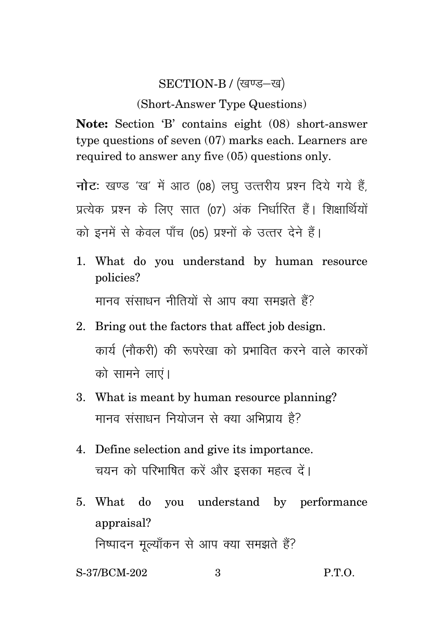## SECTION-B / (खण्ड-ख)

## (Short-Answer Type Questions)

Note: Section 'B' contains eight (08) short-answer type questions of seven  $(07)$  marks each. Learners are required to answer any five (05) questions only.

नोट: खण्ड 'ख' में आठ (08) लघु उत्तरीय प्रश्न दिये गये हैं, प्रत्येक प्रश्न के लिए सात (07) अंक निर्धारित हैं। शिक्षार्थियों को इनमें से केवल पाँच (05) प्रश्नों के उत्तर देने हैं।

- 1. What do you understand by human resource policies? मानव संसाधन नीतियों से आप क्या समझते हैं?
- 2. Bring out the factors that affect iob design. कार्य (नौकरी) की रूपरेखा को प्रभावित करने वाले कारकों को सामने लाएं।
- 3. What is meant by human resource planning? मानव संसाधन नियोजन से क्या अभिपाय है?
- 4. Define selection and give its importance. चयन को परिभाषित करें और इसका महत्व दें।
- 5. What do you understand by performance appraisal? निष्पादन मूल्याँकन से आप क्या समझते हैं?

S-37/BCM-202  $P.T.O.$  $\mathcal{S}$